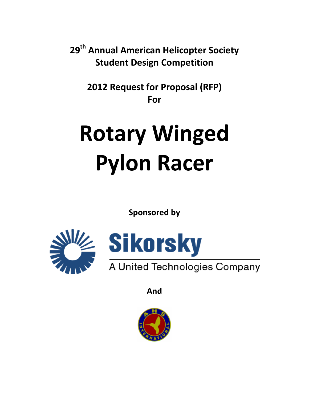**29th Annual American Helicopter Society Student Design Competition**

**2012 Request for Proposal (RFP) For**

# **Rotary Winged Pylon Racer**

**Sponsored by**





**And**

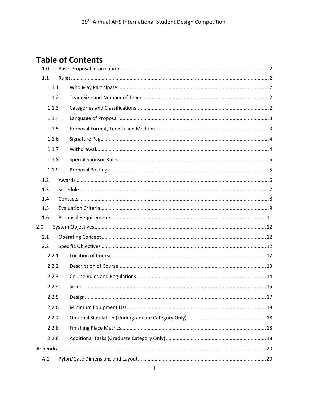# **Table of Contents**

| 1.0   |       |  |  |  |  |  |
|-------|-------|--|--|--|--|--|
| 1.1   |       |  |  |  |  |  |
|       | 1.1.1 |  |  |  |  |  |
|       | 1.1.2 |  |  |  |  |  |
|       | 1.1.3 |  |  |  |  |  |
|       | 1.1.4 |  |  |  |  |  |
|       | 1.1.5 |  |  |  |  |  |
|       | 1.1.6 |  |  |  |  |  |
|       | 1.1.7 |  |  |  |  |  |
|       | 1.1.8 |  |  |  |  |  |
|       | 1.1.9 |  |  |  |  |  |
| 1.2   |       |  |  |  |  |  |
| 1.3   |       |  |  |  |  |  |
| 1.4   |       |  |  |  |  |  |
| 1.5   |       |  |  |  |  |  |
| 1.6   |       |  |  |  |  |  |
| 2.0   |       |  |  |  |  |  |
| 2.1   |       |  |  |  |  |  |
| 2.2   |       |  |  |  |  |  |
|       | 2.2.1 |  |  |  |  |  |
|       | 2.2.2 |  |  |  |  |  |
|       | 2.2.3 |  |  |  |  |  |
|       | 2.2.4 |  |  |  |  |  |
|       | 2.2.5 |  |  |  |  |  |
|       | 2.2.6 |  |  |  |  |  |
|       | 2.2.7 |  |  |  |  |  |
|       | 2.2.8 |  |  |  |  |  |
|       | 2.2.8 |  |  |  |  |  |
|       |       |  |  |  |  |  |
| $A-1$ |       |  |  |  |  |  |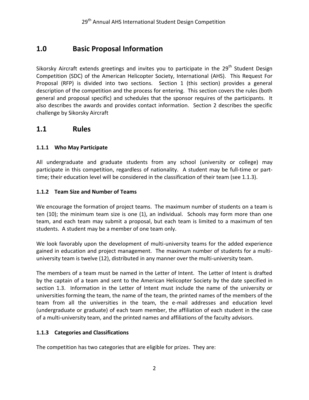## <span id="page-2-0"></span>**1.0 Basic Proposal Information**

Sikorsky Aircraft extends greetings and invites you to participate in the 29<sup>th</sup> Student Design Competition (SDC) of the American Helicopter Society, International (AHS). This Request For Proposal (RFP) is divided into two sections. Section 1 (this section) provides a general description of the competition and the process for entering. This section covers the rules (both general and proposal specific) and schedules that the sponsor requires of the participants. It also describes the awards and provides contact information. Section 2 describes the specific challenge by Sikorsky Aircraft

## <span id="page-2-1"></span>**1.1 Rules**

## <span id="page-2-2"></span>**1.1.1 Who May Participate**

All undergraduate and graduate students from any school (university or college) may participate in this competition, regardless of nationality. A student may be full-time or parttime; their education level will be considered in the classification of their team (see 1.1.3).

## <span id="page-2-3"></span>**1.1.2 Team Size and Number of Teams**

We encourage the formation of project teams. The maximum number of students on a team is ten (10); the minimum team size is one (1), an individual. Schools may form more than one team, and each team may submit a proposal, but each team is limited to a maximum of ten students. A student may be a member of one team only.

We look favorably upon the development of multi-university teams for the added experience gained in education and project management. The maximum number of students for a multiuniversity team is twelve (12), distributed in any manner over the multi-university team.

The members of a team must be named in the Letter of Intent. The Letter of Intent is drafted by the captain of a team and sent to the American Helicopter Society by the date specified in section 1.3. Information in the Letter of Intent must include the name of the university or universities forming the team, the name of the team, the printed names of the members of the team from all the universities in the team, the e-mail addresses and education level (undergraduate or graduate) of each team member, the affiliation of each student in the case of a multi-university team, and the printed names and affiliations of the faculty advisors.

## <span id="page-2-4"></span>**1.1.3 Categories and Classifications**

The competition has two categories that are eligible for prizes. They are: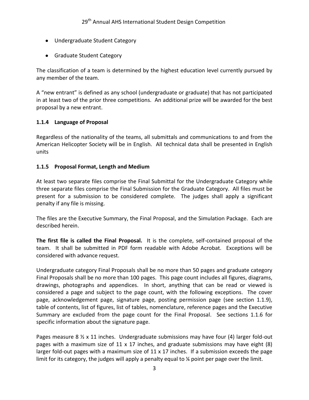- Undergraduate Student Category
- **•** Graduate Student Category

The classification of a team is determined by the highest education level currently pursued by any member of the team.

A "new entrant" is defined as any school (undergraduate or graduate) that has not participated in at least two of the prior three competitions. An additional prize will be awarded for the best proposal by a new entrant.

## <span id="page-3-0"></span>**1.1.4 Language of Proposal**

Regardless of the nationality of the teams, all submittals and communications to and from the American Helicopter Society will be in English. All technical data shall be presented in English units

#### <span id="page-3-1"></span>**1.1.5 Proposal Format, Length and Medium**

At least two separate files comprise the Final Submittal for the Undergraduate Category while three separate files comprise the Final Submission for the Graduate Category. All files must be present for a submission to be considered complete. The judges shall apply a significant penalty if any file is missing.

The files are the Executive Summary, the Final Proposal, and the Simulation Package. Each are described herein.

**The first file is called the Final Proposal.** It is the complete, self-contained proposal of the team. It shall be submitted in PDF form readable with Adobe Acrobat. Exceptions will be considered with advance request.

Undergraduate category Final Proposals shall be no more than 50 pages and graduate category Final Proposals shall be no more than 100 pages. This page count includes all figures, diagrams, drawings, photographs and appendices. In short, anything that can be read or viewed is considered a page and subject to the page count, with the following exceptions. The cover page, acknowledgement page, signature page, posting permission page (see section 1.1.9), table of contents, list of figures, list of tables, nomenclature, reference pages and the Executive Summary are excluded from the page count for the Final Proposal. See sections 1.1.6 for specific information about the signature page.

Pages measure 8  $\frac{1}{2}$  x 11 inches. Undergraduate submissions may have four (4) larger fold-out pages with a maximum size of 11 x 17 inches, and graduate submissions may have eight (8) larger fold-out pages with a maximum size of  $11 \times 17$  inches. If a submission exceeds the page limit for its category, the judges will apply a penalty equal to % point per page over the limit.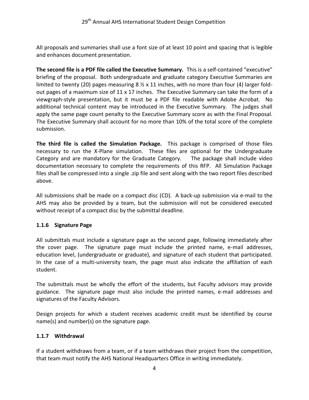All proposals and summaries shall use a font size of at least 10 point and spacing that is legible and enhances document presentation.

**The second file is a PDF file called the Executive Summary.** This is a self-contained "executive" briefing of the proposal. Both undergraduate and graduate category Executive Summaries are limited to twenty (20) pages measuring 8  $\frac{1}{2}$  x 11 inches, with no more than four (4) larger foldout pages of a maximum size of 11 x 17 inches. The Executive Summary can take the form of a viewgraph-style presentation, but it must be a PDF file readable with Adobe Acrobat. No additional technical content may be introduced in the Executive Summary. The judges shall apply the same page count penalty to the Executive Summary score as with the Final Proposal. The Executive Summary shall account for no more than 10% of the total score of the complete submission.

**The third file is called the Simulation Package.** This package is comprised of those files necessary to run the X-Plane simulation. These files are optional for the Undergraduate Category and are mandatory for the Graduate Category. The package shall include video documentation necessary to complete the requirements of this RFP. All Simulation Package files shall be compressed into a single .zip file and sent along with the two report files described above.

All submissions shall be made on a compact disc (CD). A back-up submission via e-mail to the AHS may also be provided by a team, but the submission will not be considered executed without receipt of a compact disc by the submittal deadline.

## <span id="page-4-0"></span>**1.1.6 Signature Page**

All submittals must include a signature page as the second page, following immediately after the cover page. The signature page must include the printed name, e-mail addresses, education level, (undergraduate or graduate), and signature of each student that participated. In the case of a multi-university team, the page must also indicate the affiliation of each student.

The submittals must be wholly the effort of the students, but Faculty advisors may provide guidance. The signature page must also include the printed names, e-mail addresses and signatures of the Faculty Advisors.

Design projects for which a student receives academic credit must be identified by course name(s) and number(s) on the signature page.

#### <span id="page-4-1"></span>**1.1.7 Withdrawal**

If a student withdraws from a team, or if a team withdraws their project from the competition, that team must notify the AHS National Headquarters Office in writing immediately.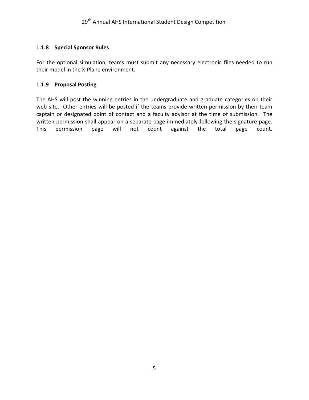#### <span id="page-5-0"></span>**1.1.8 Special Sponsor Rules**

For the optional simulation, teams must submit any necessary electronic files needed to run their model in the X-Plane environment.

#### <span id="page-5-1"></span>**1.1.9 Proposal Posting**

The AHS will post the winning entries in the undergraduate and graduate categories on their web site. Other entries will be posted if the teams provide written permission by their team captain or designated point of contact and a faculty advisor at the time of submission. The written permission shall appear on a separate page immediately following the signature page. This permission page will not count against the total page count.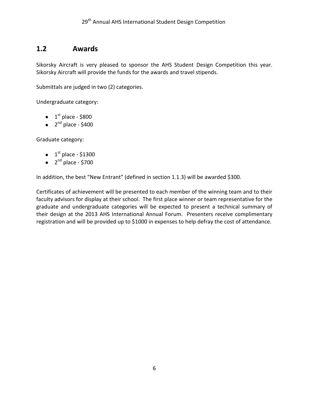## <span id="page-6-0"></span>**1.2 Awards**

Sikorsky Aircraft is very pleased to sponsor the AHS Student Design Competition this year. Sikorsky Aircraft will provide the funds for the awards and travel stipends.

Submittals are judged in two (2) categories.

Undergraduate category:

- $1<sup>st</sup>$  place \$800
- 2<sup>nd</sup> place \$400

Graduate category:

- $1<sup>st</sup>$  place \$1300
- 2<sup>nd</sup> place \$700

In addition, the best "New Entrant" (defined in section 1.1.3) will be awarded \$300.

Certificates of achievement will be presented to each member of the winning team and to their faculty advisors for display at their school. The first place winner or team representative for the graduate and undergraduate categories will be expected to present a technical summary of their design at the 2013 AHS International Annual Forum. Presenters receive complimentary registration and will be provided up to \$1000 in expenses to help defray the cost of attendance.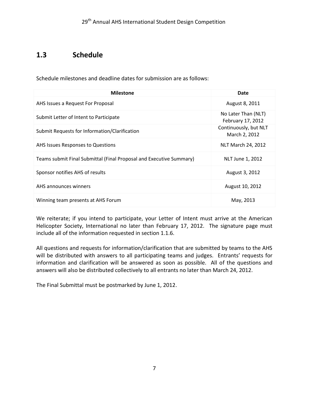## <span id="page-7-0"></span>**1.3 Schedule**

Schedule milestones and deadline dates for submission are as follows:

| <b>Milestone</b>                                                    | Date                                     |
|---------------------------------------------------------------------|------------------------------------------|
| AHS Issues a Request For Proposal                                   | August 8, 2011                           |
| Submit Letter of Intent to Participate                              | No Later Than (NLT)<br>February 17, 2012 |
| Submit Requests for Information/Clarification                       | Continuously, but NLT<br>March 2, 2012   |
| AHS Issues Responses to Questions                                   | NLT March 24, 2012                       |
| Teams submit Final Submittal (Final Proposal and Executive Summary) | NLT June 1, 2012                         |
| Sponsor notifies AHS of results                                     | August 3, 2012                           |
| AHS announces winners                                               | August 10, 2012                          |
| Winning team presents at AHS Forum                                  | May, 2013                                |

We reiterate; if you intend to participate, your Letter of Intent must arrive at the American Helicopter Society, International no later than February 17, 2012. The signature page must include all of the information requested in section 1.1.6.

All questions and requests for information/clarification that are submitted by teams to the AHS will be distributed with answers to all participating teams and judges. Entrants' requests for information and clarification will be answered as soon as possible. All of the questions and answers will also be distributed collectively to all entrants no later than March 24, 2012.

The Final Submittal must be postmarked by June 1, 2012.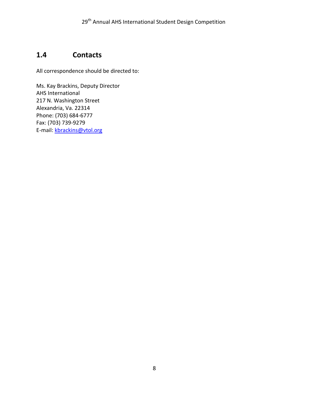## <span id="page-8-0"></span>**1.4 Contacts**

All correspondence should be directed to:

Ms. Kay Brackins, Deputy Director AHS International 217 N. Washington Street Alexandria, Va. 22314 Phone: (703) 684-6777 Fax: (703) 739-9279 E-mail: [kbrackins@vtol.org](mailto:kbrackins@vtol.org)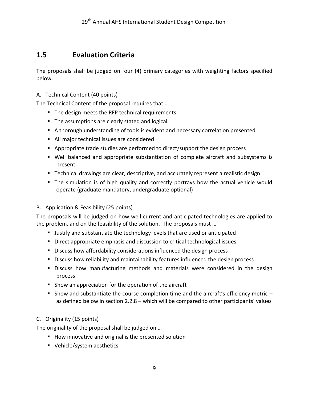## <span id="page-9-0"></span>**1.5 Evaluation Criteria**

The proposals shall be judged on four (4) primary categories with weighting factors specified below.

## A. Technical Content (40 points)

The Technical Content of the proposal requires that …

- The design meets the RFP technical requirements
- **The assumptions are clearly stated and logical**
- A thorough understanding of tools is evident and necessary correlation presented
- All major technical issues are considered
- Appropriate trade studies are performed to direct/support the design process
- Well balanced and appropriate substantiation of complete aircraft and subsystems is present
- **Technical drawings are clear, descriptive, and accurately represent a realistic design**
- The simulation is of high quality and correctly portrays how the actual vehicle would operate (graduate mandatory, undergraduate optional)

## B. Application & Feasibility (25 points)

The proposals will be judged on how well current and anticipated technologies are applied to the problem, and on the feasibility of the solution. The proposals must …

- **Justify and substantiate the technology levels that are used or anticipated**
- **Direct appropriate emphasis and discussion to critical technological issues**
- Discuss how affordability considerations influenced the design process
- **Discuss how reliability and maintainability features influenced the design process**
- **Discuss how manufacturing methods and materials were considered in the design** process
- **Show an appreciation for the operation of the aircraft**
- Show and substantiate the course completion time and the aircraft's efficiency metric  $$ as defined below in section 2.2.8 – which will be compared to other participants' values

## C. Originality (15 points)

The originality of the proposal shall be judged on …

- How innovative and original is the presented solution
- Vehicle/system aesthetics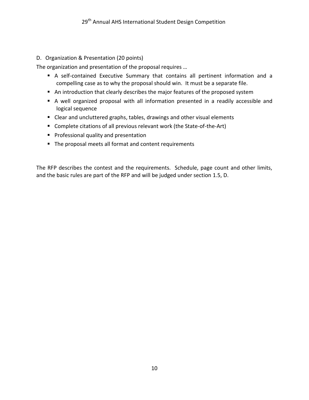## D. Organization & Presentation (20 points)

The organization and presentation of the proposal requires …

- A self-contained Executive Summary that contains all pertinent information and a compelling case as to why the proposal should win. It must be a separate file.
- An introduction that clearly describes the major features of the proposed system
- A well organized proposal with all information presented in a readily accessible and logical sequence
- Clear and uncluttered graphs, tables, drawings and other visual elements
- Complete citations of all previous relevant work (the State-of-the-Art)
- **Professional quality and presentation**
- The proposal meets all format and content requirements

The RFP describes the contest and the requirements. Schedule, page count and other limits, and the basic rules are part of the RFP and will be judged under section 1.5, D.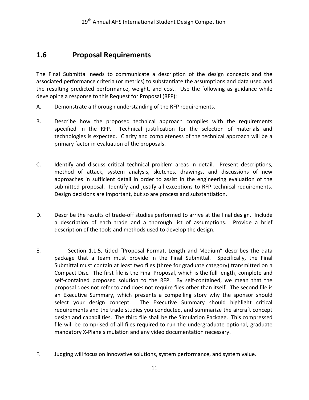## <span id="page-11-0"></span>**1.6 Proposal Requirements**

The Final Submittal needs to communicate a description of the design concepts and the associated performance criteria (or metrics) to substantiate the assumptions and data used and the resulting predicted performance, weight, and cost. Use the following as guidance while developing a response to this Request for Proposal (RFP):

- A. Demonstrate a thorough understanding of the RFP requirements.
- B. Describe how the proposed technical approach complies with the requirements specified in the RFP. Technical justification for the selection of materials and technologies is expected. Clarity and completeness of the technical approach will be a primary factor in evaluation of the proposals.
- C. Identify and discuss critical technical problem areas in detail. Present descriptions, method of attack, system analysis, sketches, drawings, and discussions of new approaches in sufficient detail in order to assist in the engineering evaluation of the submitted proposal. Identify and justify all exceptions to RFP technical requirements. Design decisions are important, but so are process and substantiation.
- D. Describe the results of trade-off studies performed to arrive at the final design. Include a description of each trade and a thorough list of assumptions. Provide a brief description of the tools and methods used to develop the design.
- E. Section 1.1.5, titled "Proposal Format, Length and Medium" describes the data package that a team must provide in the Final Submittal. Specifically, the Final Submittal must contain at least two files (three for graduate category) transmitted on a Compact Disc. The first file is the Final Proposal, which is the full length, complete and self-contained proposed solution to the RFP. By self-contained, we mean that the proposal does not refer to and does not require files other than itself. The second file is an Executive Summary, which presents a compelling story why the sponsor should select your design concept. The Executive Summary should highlight critical requirements and the trade studies you conducted, and summarize the aircraft concept design and capabilities. The third file shall be the Simulation Package. This compressed file will be comprised of all files required to run the undergraduate optional, graduate mandatory X-Plane simulation and any video documentation necessary.
- F. Judging will focus on innovative solutions, system performance, and system value.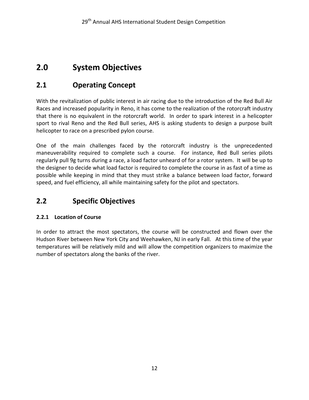# <span id="page-12-0"></span>**2.0 System Objectives**

## <span id="page-12-1"></span>**2.1 Operating Concept**

With the revitalization of public interest in air racing due to the introduction of the Red Bull Air Races and increased popularity in Reno, it has come to the realization of the rotorcraft industry that there is no equivalent in the rotorcraft world. In order to spark interest in a helicopter sport to rival Reno and the Red Bull series, AHS is asking students to design a purpose built helicopter to race on a prescribed pylon course.

One of the main challenges faced by the rotorcraft industry is the unprecedented maneuverability required to complete such a course. For instance, Red Bull series pilots regularly pull 9g turns during a race, a load factor unheard of for a rotor system. It will be up to the designer to decide what load factor is required to complete the course in as fast of a time as possible while keeping in mind that they must strike a balance between load factor, forward speed, and fuel efficiency, all while maintaining safety for the pilot and spectators.

## <span id="page-12-2"></span>**2.2 Specific Objectives**

## <span id="page-12-3"></span>**2.2.1 Location of Course**

In order to attract the most spectators, the course will be constructed and flown over the Hudson River between New York City and Weehawken, NJ in early Fall. At this time of the year temperatures will be relatively mild and will allow the competition organizers to maximize the number of spectators along the banks of the river.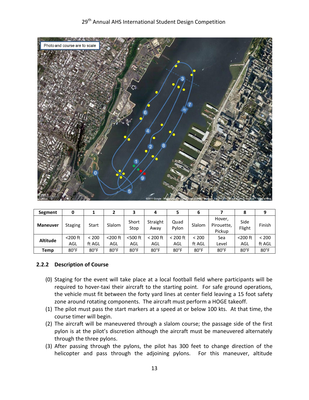## 29<sup>th</sup> Annual AHS International Student Design Competition



| Segment         | 0              |                |                |                | 4                |                | ь              |                                | 8              |                |
|-----------------|----------------|----------------|----------------|----------------|------------------|----------------|----------------|--------------------------------|----------------|----------------|
| <b>Maneuver</b> | <b>Staging</b> | Start          | Slalom         | Short<br>Stop  | Straight<br>Away | Quad<br>Pylon  | Slalom         | Hover,<br>Pirouette,<br>Pickup | Side<br>Flight | Finish         |
| <b>Altitude</b> | $<$ 200 $ft$   | < 200          | $<$ 200 $ft$   | $<$ 500 $ft$   | $< 200$ ft       | $<$ 200 ft     | < 200          | Sea                            | $<$ 200 $ft$   | < 200          |
|                 | AGL            | ft AGL         | AGL            | AGL            | AGL              | AGL            | ft AGL         | Level                          | AGL            | ft AGL         |
| Temp            | $80^{\circ}$ F | $80^{\circ}$ F | $80^{\circ}$ F | $80^{\circ}$ F | $80^{\circ}$ F   | $80^{\circ}$ F | $80^{\circ}$ F | $80^{\circ}$ F                 | $80^{\circ}$ F | $80^{\circ}$ F |

#### <span id="page-13-0"></span>**2.2.2 Description of Course**

- (0) Staging for the event will take place at a local football field where participants will be required to hover-taxi their aircraft to the starting point. For safe ground operations, the vehicle must fit between the forty yard lines at center field leaving a 15 foot safety zone around rotating components. The aircraft must perform a HOGE takeoff.
- (1) The pilot must pass the start markers at a speed at or below 100 kts. At that time, the course timer will begin.
- (2) The aircraft will be maneuvered through a slalom course; the passage side of the first pylon is at the pilot's discretion although the aircraft must be maneuvered alternately through the three pylons.
- (3) After passing through the pylons, the pilot has 300 feet to change direction of the helicopter and pass through the adjoining pylons. For this maneuver, altitude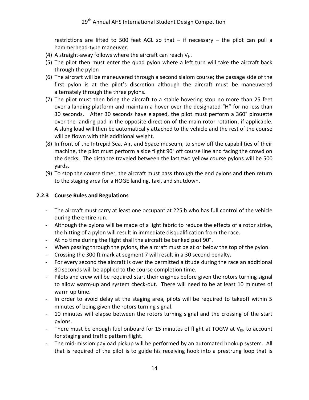restrictions are lifted to 500 feet AGL so that – if necessary – the pilot can pull a hammerhead-type maneuver.

- (4) A straight-away follows where the aircraft can reach  $V_H$ .
- (5) The pilot then must enter the quad pylon where a left turn will take the aircraft back through the pylon
- (6) The aircraft will be maneuvered through a second slalom course; the passage side of the first pylon is at the pilot's discretion although the aircraft must be maneuvered alternately through the three pylons.
- (7) The pilot must then bring the aircraft to a stable hovering stop no more than 25 feet over a landing platform and maintain a hover over the designated "H" for no less than 30 seconds. After 30 seconds have elapsed, the pilot must perform a 360° pirouette over the landing pad in the opposite direction of the main rotor rotation, if applicable. A slung load will then be automatically attached to the vehicle and the rest of the course will be flown with this additional weight.
- (8) In front of the Intrepid Sea, Air, and Space museum, to show off the capabilities of their machine, the pilot must perform a side flight 90° off course line and facing the crowd on the decks. The distance traveled between the last two yellow course pylons will be 500 yards.
- (9) To stop the course timer, the aircraft must pass through the end pylons and then return to the staging area for a HOGE landing, taxi, and shutdown.

## <span id="page-14-0"></span>**2.2.3 Course Rules and Regulations**

- The aircraft must carry at least one occupant at 225lb who has full control of the vehicle during the entire run.
- Although the pylons will be made of a light fabric to reduce the effects of a rotor strike, the hitting of a pylon will result in immediate disqualification from the race.
- At no time during the flight shall the aircraft be banked past 90°.
- When passing through the pylons, the aircraft must be at or below the top of the pylon.
- Crossing the 300 ft mark at segment 7 will result in a 30 second penalty.
- For every second the aircraft is over the permitted altitude during the race an additional 30 seconds will be applied to the course completion time.
- Pilots and crew will be required start their engines before given the rotors turning signal to allow warm-up and system check-out. There will need to be at least 10 minutes of warm up time.
- In order to avoid delay at the staging area, pilots will be required to takeoff within 5 minutes of being given the rotors turning signal.
- 10 minutes will elapse between the rotors turning signal and the crossing of the start pylons.
- There must be enough fuel onboard for 15 minutes of flight at TOGW at  $V_{BR}$  to account for staging and traffic pattern flight.
- The mid-mission payload pickup will be performed by an automated hookup system. All that is required of the pilot is to guide his receiving hook into a prestrung loop that is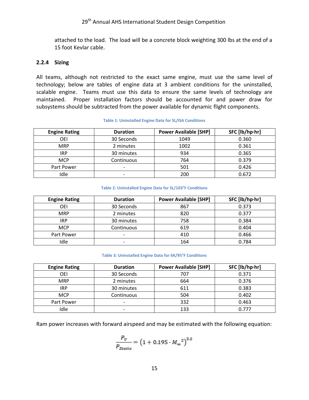attached to the load. The load will be a concrete block weighting 300 lbs at the end of a 15 foot Kevlar cable.

#### <span id="page-15-0"></span>**2.2.4 Sizing**

All teams, although not restricted to the exact same engine, must use the same level of technology; below are tables of engine data at 3 ambient conditions for the uninstalled, scalable engine. Teams must use this data to ensure the same levels of technology are maintained. Proper installation factors should be accounted for and power draw for subsystems should be subtracted from the power available for dynamic flight components.

| <b>Engine Rating</b> | <b>Duration</b> | <b>Power Available [SHP]</b> | SFC [lb/hp·hr] |
|----------------------|-----------------|------------------------------|----------------|
| OEI                  | 30 Seconds      | 1049                         | 0.360          |
| <b>MRP</b>           | 2 minutes       | 1002                         | 0.361          |
| IRP                  | 30 minutes      | 934                          | 0.365          |
| <b>MCP</b>           | Continuous      | 764                          | 0.379          |
| Part Power           | -               | 501                          | 0.426          |
| Idle                 |                 | 200                          | 0.672          |

#### **Table 1: Uninstalled Engine Data for SL/ISA Conditions**

#### **Table 2: Uninstalled Engine Data for SL/103°F Conditions**

| <b>Engine Rating</b> | <b>Duration</b> | <b>Power Available [SHP]</b> | SFC [lb/hp·hr] |
|----------------------|-----------------|------------------------------|----------------|
| OEI                  | 30 Seconds      | 867                          | 0.373          |
| <b>MRP</b>           | 2 minutes       | 820                          | 0.377          |
| <b>IRP</b>           | 30 minutes      | 758                          | 0.384          |
| <b>MCP</b>           | Continuous      | 619                          | 0.404          |
| Part Power           | -               | 410                          | 0.466          |
| Idle                 |                 | 164                          | 0.784          |

#### **Table 3: Uninstalled Engine Data for 6K/95°F Conditions**

| <b>Engine Rating</b> | <b>Duration</b> | <b>Power Available [SHP]</b> | SFC [lb/hp·hr] |
|----------------------|-----------------|------------------------------|----------------|
| OEI                  | 30 Seconds      | 707                          | 0.371          |
| <b>MRP</b>           | 2 minutes       | 664                          | 0.376          |
| IRP                  | 30 minutes      | 611                          | 0.383          |
| <b>MCP</b>           | Continuous      | 504                          | 0.402          |
| Part Power           | -               | 332                          | 0.463          |
| Idle                 |                 | 133                          | 0.777          |

Ram power increases with forward airspeed and may be estimated with the following equation:

$$
\frac{P_V}{P_{Static}} = (1 + 0.195 \cdot M_{\infty}^2)^{3.5}
$$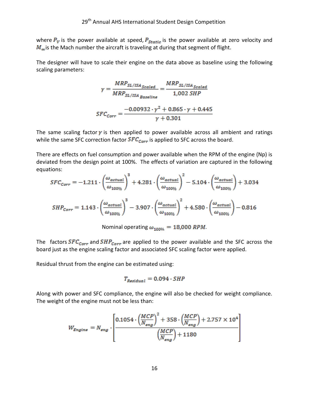where  $P_V$  is the power available at speed,  $P_{static}$  is the power available at zero velocity and  $M_{\infty}$  is the Mach number the aircraft is traveling at during that segment of flight.

The designer will have to scale their engine on the data above as baseline using the following scaling parameters:

$$
\gamma = \frac{MRP_{SL/ISA_{Scaled}}}{MRP_{SL/ISA_{Baseline}}} = \frac{MRP_{SL/ISA_{Scaled}}}{1,002 \, SHP}
$$

$$
SFC_{Corr} = \frac{-0.00932 \cdot \gamma^2 + 0.865 \cdot \gamma + 0.445}{\gamma + 0.301}
$$

The same scaling factor  $\gamma$  is then applied to power available across all ambient and ratings while the same SFC correction factor  $SFC_{Corr}$  is applied to SFC across the board.

There are effects on fuel consumption and power available when the RPM of the engine (Np) is deviated from the design point at 100%. The effects of variation are captured in the following equations:

$$
SFC_{Corr} = -1.211 \cdot \left(\frac{\omega_{actual}}{\omega_{100\%}}\right)^3 + 4.281 \cdot \left(\frac{\omega_{actual}}{\omega_{100\%}}\right)^2 - 5.104 \cdot \left(\frac{\omega_{actual}}{\omega_{100\%}}\right) + 3.034
$$
  

$$
SHP_{Corr} = 1.143 \cdot \left(\frac{\omega_{actual}}{\omega_{100\%}}\right)^3 - 3.907 \cdot \left(\frac{\omega_{actual}}{\omega_{100\%}}\right)^2 + 4.580 \cdot \left(\frac{\omega_{actual}}{\omega_{100\%}}\right) - 0.816
$$

Nominal operating  $\omega_{100\%} = 18,000$  RPM.

The factors  $SFC_{Corr}$  and  $SHP_{Corr}$  are applied to the power available and the SFC across the board just as the engine scaling factor and associated SFC scaling factor were applied.

Residual thrust from the engine can be estimated using:

$$
T_{Residual} = 0.094 \cdot SHP
$$

Along with power and SFC compliance, the engine will also be checked for weight compliance. The weight of the engine must not be less than:

$$
W_{Engine} = N_{eng} \cdot \left[ \frac{0.1054 \cdot \left(\frac{MCP}{N_{eng}}\right)^2 + 358 \cdot \left(\frac{MCP}{N_{eng}}\right) + 2.757 \times 10^4}{\left(\frac{MCP}{N_{eng}}\right) + 1180} \right]
$$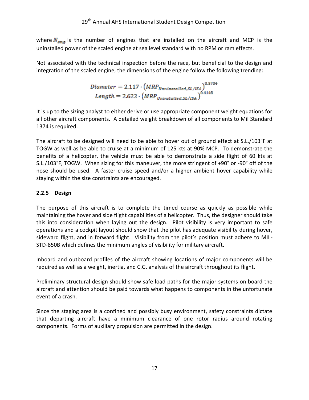where  $N_{eng}$  is the number of engines that are installed on the aircraft and MCP is the uninstalled power of the scaled engine at sea level standard with no RPM or ram effects.

Not associated with the technical inspection before the race, but beneficial to the design and integration of the scaled engine, the dimensions of the engine follow the following trending:

$$
Diameter = 2.117 \cdot \left(MRP_{Unninstalled, SL/ISA}\right)^{0.3704}
$$
\n
$$
Length = 2.622 \cdot \left(MRP_{Uninstalled, SL/ISA}\right)^{0.4148}
$$

It is up to the sizing analyst to either derive or use appropriate component weight equations for all other aircraft components. A detailed weight breakdown of all components to Mil Standard 1374 is required.

The aircraft to be designed will need to be able to hover out of ground effect at S.L./103°F at TOGW as well as be able to cruise at a minimum of 125 kts at 90% MCP. To demonstrate the benefits of a helicopter, the vehicle must be able to demonstrate a side flight of 60 kts at S.L./103°F, TOGW. When sizing for this maneuver, the more stringent of +90° or -90° off of the nose should be used. A faster cruise speed and/or a higher ambient hover capability while staying within the size constraints are encouraged.

## <span id="page-17-0"></span>**2.2.5 Design**

The purpose of this aircraft is to complete the timed course as quickly as possible while maintaining the hover and side flight capabilities of a helicopter. Thus, the designer should take this into consideration when laying out the design. Pilot visibility is very important to safe operations and a cockpit layout should show that the pilot has adequate visibility during hover, sideward flight, and in forward flight. Visibility from the pilot's position must adhere to MIL-STD-850B which defines the minimum angles of visibility for military aircraft.

Inboard and outboard profiles of the aircraft showing locations of major components will be required as well as a weight, inertia, and C.G. analysis of the aircraft throughout its flight.

Preliminary structural design should show safe load paths for the major systems on board the aircraft and attention should be paid towards what happens to components in the unfortunate event of a crash.

Since the staging area is a confined and possibly busy environment, safety constraints dictate that departing aircraft have a minimum clearance of one rotor radius around rotating components. Forms of auxiliary propulsion are permitted in the design.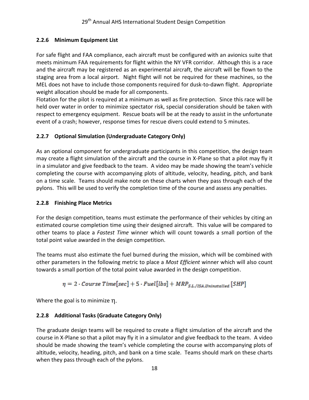## <span id="page-18-0"></span>**2.2.6 Minimum Equipment List**

For safe flight and FAA compliance, each aircraft must be configured with an avionics suite that meets minimum FAA requirements for flight within the NY VFR corridor. Although this is a race and the aircraft may be registered as an experimental aircraft, the aircraft will be flown to the staging area from a local airport. Night flight will not be required for these machines, so the MEL does not have to include those components required for dusk-to-dawn flight. Appropriate weight allocation should be made for all components.

Flotation for the pilot is required at a minimum as well as fire protection. Since this race will be held over water in order to minimize spectator risk, special consideration should be taken with respect to emergency equipment. Rescue boats will be at the ready to assist in the unfortunate event of a crash; however, response times for rescue divers could extend to 5 minutes.

## <span id="page-18-1"></span>**2.2.7 Optional Simulation (Undergraduate Category Only)**

As an optional component for undergraduate participants in this competition, the design team may create a flight simulation of the aircraft and the course in X-Plane so that a pilot may fly it in a simulator and give feedback to the team. A video may be made showing the team's vehicle completing the course with accompanying plots of altitude, velocity, heading, pitch, and bank on a time scale. Teams should make note on these charts when they pass through each of the pylons. This will be used to verify the completion time of the course and assess any penalties.

## <span id="page-18-2"></span>**2.2.8 Finishing Place Metrics**

For the design competition, teams must estimate the performance of their vehicles by citing an estimated course completion time using their designed aircraft. This value will be compared to other teams to place a *Fastest Time* winner which will count towards a small portion of the total point value awarded in the design competition.

The teams must also estimate the fuel burned during the mission, which will be combined with other parameters in the following metric to place a *Most Efficient* winner which will also count towards a small portion of the total point value awarded in the design competition.

$$
\eta = 2 \cdot Course\ Time\ [sec] + 5 \cdot Fuel[lbs] + MRP_{SL./ISA, Uninstead} \ [SHP]
$$

Where the goal is to minimize  $\eta$ .

## <span id="page-18-3"></span>**2.2.8 Additional Tasks (Graduate Category Only)**

The graduate design teams will be required to create a flight simulation of the aircraft and the course in X-Plane so that a pilot may fly it in a simulator and give feedback to the team. A video should be made showing the team's vehicle completing the course with accompanying plots of altitude, velocity, heading, pitch, and bank on a time scale. Teams should mark on these charts when they pass through each of the pylons.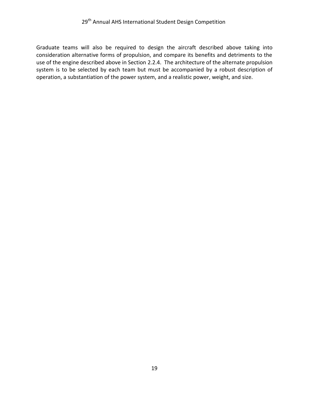Graduate teams will also be required to design the aircraft described above taking into consideration alternative forms of propulsion, and compare its benefits and detriments to the use of the engine described above in Section 2.2.4. The architecture of the alternate propulsion system is to be selected by each team but must be accompanied by a robust description of operation, a substantiation of the power system, and a realistic power, weight, and size.